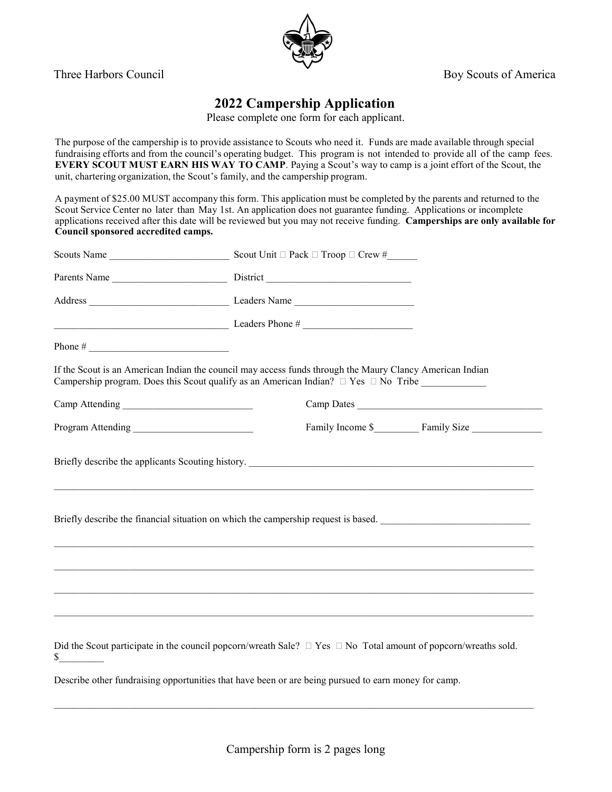

Three Harbors Council Boy Scouts of America

## **2022 Campership Application**

Please complete one form for each applicant.

The purpose of the campership is to provide assistance to Scouts who need it. Funds are made available through special fundraising efforts and from the council's operating budget. This program is not intended to provide all of the camp fees. **EVERY SCOUT MUST EARN HIS WAY TO CAMP**. Paying a Scout's way to camp is a joint effort of the Scout, the unit, chartering organization, the Scout's family, and the campership program.

A payment of \$25.00 MUST accompany this form. This application must be completed by the parents and returned to the Scout Service Center no later than May 1st. An application does not guarantee funding. Applications or incomplete applications received after this date will be reviewed but you may not receive funding. **Camperships are only available for Council sponsored accredited camps.**

|                                                            | $\frac{1}{2}$ Leaders Phone #                                                                                                                                                                             |                              |
|------------------------------------------------------------|-----------------------------------------------------------------------------------------------------------------------------------------------------------------------------------------------------------|------------------------------|
| Phone # $\frac{1}{\sqrt{1-\frac{1}{2}} \cdot \frac{1}{2}}$ |                                                                                                                                                                                                           |                              |
|                                                            | If the Scout is an American Indian the council may access funds through the Maury Clancy American Indian<br>Campership program. Does this Scout qualify as an American Indian? $\Box$ Yes $\Box$ No Tribe |                              |
|                                                            |                                                                                                                                                                                                           | Camp Dates                   |
|                                                            |                                                                                                                                                                                                           | Family Income \$ Family Size |
|                                                            | ,我们也不能在这里的时候,我们也不能在这里的时候,我们也不能在这里的时候,我们也不能会在这里的时候,我们也不能会在这里的时候,我们也不能会在这里的时候,我们也不能<br>Briefly describe the financial situation on which the campership request is based.                                   |                              |
|                                                            | ,我们也不能在这里的人,我们也不能在这里的人,我们也不能在这里的人,我们也不能在这里的人,我们也不能在这里的人,我们也不能在这里的人,我们也不能在这里的人,我们也                                                                                                                         |                              |
|                                                            | ,我们也不能在这里的人,我们也不能在这里的人,我们也不能在这里的人,我们也不能在这里的人,我们也不能在这里的人,我们也不能在这里的人,我们也不能在这里的人,我们也                                                                                                                         |                              |
|                                                            | Did the Scout participate in the council popcorn/wreath Sale? $\Box$ Yes $\Box$ No Total amount of popcorn/wreaths sold.                                                                                  |                              |
|                                                            | Describe other fundraising opportunities that have been or are being pursued to earn money for camp.                                                                                                      |                              |

 $\_$  , and the set of the set of the set of the set of the set of the set of the set of the set of the set of the set of the set of the set of the set of the set of the set of the set of the set of the set of the set of th